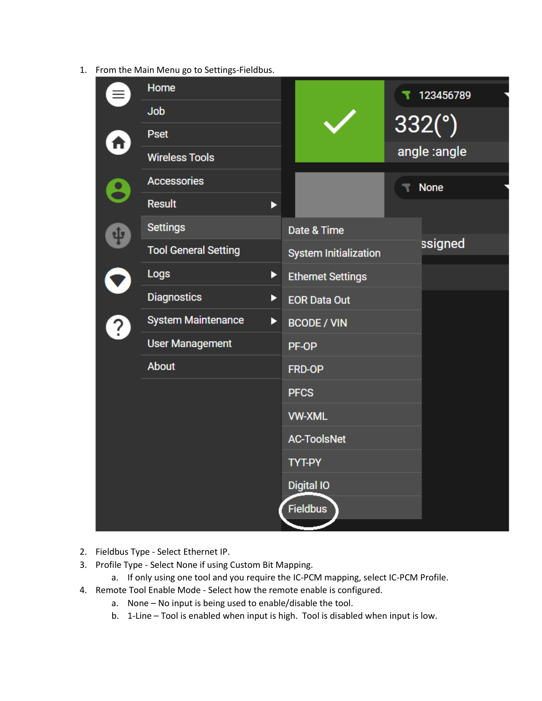1. From the Main Menu go to Settings-Fieldbus.

|                    | Home                        |   |                              | 123456789    |  |
|--------------------|-----------------------------|---|------------------------------|--------------|--|
|                    | Job                         |   |                              |              |  |
| $\hat{\mathbf{r}}$ | <b>Pset</b>                 |   |                              | 332(°)       |  |
|                    | <b>Wireless Tools</b>       |   |                              | angle :angle |  |
| $\bullet$          | <b>Accessories</b>          |   |                              | <b>None</b>  |  |
|                    | <b>Result</b>               | ▶ |                              |              |  |
| <b>.p</b>          | <b>Settings</b>             |   | Date & Time                  |              |  |
|                    | <b>Tool General Setting</b> |   | <b>System Initialization</b> | ssigned      |  |
|                    | Logs                        | ▶ | <b>Ethernet Settings</b>     |              |  |
|                    | <b>Diagnostics</b><br>▶     |   | <b>EOR Data Out</b>          |              |  |
| $\overline{?}$     | <b>System Maintenance</b>   | ▶ | <b>BCODE / VIN</b>           |              |  |
|                    | <b>User Management</b>      |   | PF-OP                        |              |  |
|                    | About                       |   | FRD-OP                       |              |  |
|                    |                             |   | <b>PFCS</b>                  |              |  |
|                    |                             |   | <b>VW-XML</b>                |              |  |
|                    |                             |   | <b>AC-ToolsNet</b>           |              |  |
|                    |                             |   | <b>TYT-PY</b>                |              |  |
|                    |                             |   | <b>Digital IO</b>            |              |  |
|                    |                             |   | <b>Fieldbus</b>              |              |  |
|                    |                             |   |                              |              |  |

- 2. Fieldbus Type Select Ethernet IP.
- 3. Profile Type Select None if using Custom Bit Mapping.
	- a. If only using one tool and you require the IC-PCM mapping, select IC-PCM Profile.
- 4. Remote Tool Enable Mode Select how the remote enable is configured.
	- a. None No input is being used to enable/disable the tool.
	- b. 1-Line Tool is enabled when input is high. Tool is disabled when input is low.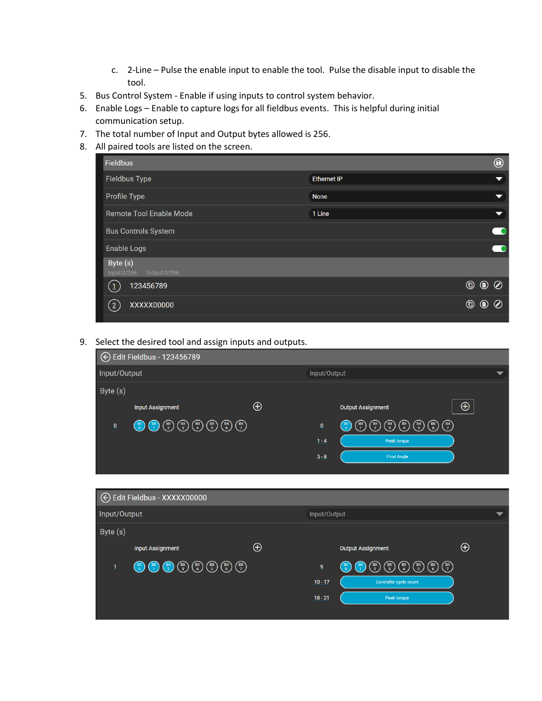- c. 2-Line Pulse the enable input to enable the tool. Pulse the disable input to disable the tool.
- 5. Bus Control System Enable if using inputs to control system behavior.
- 6. Enable Logs Enable to capture logs for all fieldbus events. This is helpful during initial communication setup.
- 7. The total number of Input and Output bytes allowed is 256.
- 8. All paired tools are listed on the screen.

|                    |                | ◉                           |
|--------------------|----------------|-----------------------------|
| <b>Ethernet IP</b> |                | ▼                           |
| <b>None</b>        |                | $\blacktriangledown$        |
| 1 Line             |                | $\blacktriangledown$        |
|                    |                |                             |
|                    |                |                             |
|                    |                |                             |
|                    | $^{\circledR}$ | $\circledcirc$              |
|                    | $^{\circledR}$ | $\circledcirc$<br>$\oslash$ |
|                    |                |                             |

9. Select the desired tool and assign inputs and outputs.

| ← Edit Fieldbus - 123456789 |                                                                                                                                                                                                                                                                                                                                                                                                                                 |              |                           |                                                                                                                                                                                                                                                                                                                                                                                                                                                           |          |  |  |
|-----------------------------|---------------------------------------------------------------------------------------------------------------------------------------------------------------------------------------------------------------------------------------------------------------------------------------------------------------------------------------------------------------------------------------------------------------------------------|--------------|---------------------------|-----------------------------------------------------------------------------------------------------------------------------------------------------------------------------------------------------------------------------------------------------------------------------------------------------------------------------------------------------------------------------------------------------------------------------------------------------------|----------|--|--|
| Input/Output                |                                                                                                                                                                                                                                                                                                                                                                                                                                 | Input/Output |                           |                                                                                                                                                                                                                                                                                                                                                                                                                                                           |          |  |  |
| Byte (s)                    | <b>Input Assignment</b>                                                                                                                                                                                                                                                                                                                                                                                                         | $\oplus$     |                           | <b>Output Assignment</b>                                                                                                                                                                                                                                                                                                                                                                                                                                  | $\oplus$ |  |  |
| $\underline{\mathbf{0}}$    | $\begin{pmatrix} \text{Bif} \\ \text{Bif} \\ \text{Bif} \end{pmatrix} \begin{pmatrix} \text{Bif} \\ \text{Bif} \\ \text{Cif} \end{pmatrix} \begin{pmatrix} \text{Bif} \\ \text{Bif} \\ \text{Cif} \end{pmatrix} \begin{pmatrix} \text{Bif} \\ \text{Bif} \\ \text{Aif} \end{pmatrix} \begin{pmatrix} \text{Bif} \\ \text{Bif} \\ \text{Dif} \end{pmatrix} \begin{pmatrix} \text{Bif} \\ \text{Cif} \\ \text{Dif} \end{pmatrix}$ |              | $\overline{0}$<br>$1 - 4$ | $\begin{pmatrix} \text{Bit} \\ \text{II} \end{pmatrix} \begin{pmatrix} \text{Bit} \\ \text{I} \end{pmatrix} \begin{pmatrix} \text{Bit} \\ \text{2} \end{pmatrix} \begin{pmatrix} \text{Bit} \\ \text{3} \end{pmatrix} \begin{pmatrix} \text{Bit} \\ \text{4} \end{pmatrix} \begin{pmatrix} \text{Bit} \\ \text{5} \end{pmatrix} \begin{pmatrix} \text{Bit} \\ \text{6} \end{pmatrix} \begin{pmatrix} \text{Bit} \\ \text{7} \end{pmatrix}$<br>Peak torque |          |  |  |
|                             |                                                                                                                                                                                                                                                                                                                                                                                                                                 |              | $5 - 8$                   | <b>Final Angle</b>                                                                                                                                                                                                                                                                                                                                                                                                                                        |          |  |  |

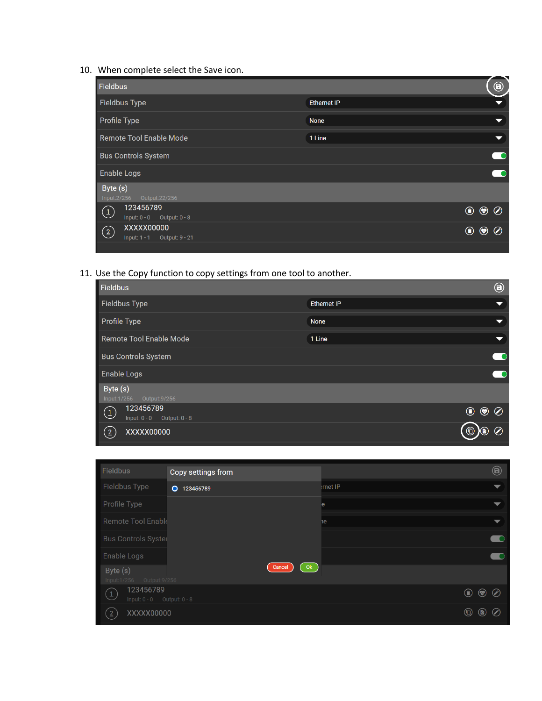10. When complete select the Save icon.

| <b>Fieldbus</b>                                           |                    |                                  | $\bm{\Theta}$        |
|-----------------------------------------------------------|--------------------|----------------------------------|----------------------|
| <b>Fieldbus Type</b>                                      | <b>Ethernet IP</b> |                                  | ▼                    |
| <b>Profile Type</b>                                       | <b>None</b>        |                                  | $\blacktriangledown$ |
| Remote Tool Enable Mode                                   | 1 Line             |                                  | $\blacktriangledown$ |
| <b>Bus Controls System</b>                                |                    |                                  |                      |
| <b>Enable Logs</b>                                        |                    |                                  |                      |
| Byte $(s)$<br>Input: 2/256<br>Output: 22/256              |                    |                                  |                      |
| 123456789<br>$\bigcirc$<br>Input: $0 - 0$ Output: $0 - 8$ |                    | $\circledcirc$                   |                      |
| XXXXX00000<br>$\odot$                                     |                    | $\circledcirc$<br>$^{\circledR}$ | $\odot$              |

11. Use the Copy function to copy settings from one tool to another.

| <b>Fieldbus</b>                | $\bm \Theta$                       |  |
|--------------------------------|------------------------------------|--|
| Fieldbus Type                  | <b>Ethernet IP</b>                 |  |
| Profile Type                   | <b>None</b>                        |  |
| <b>Remote Tool Enable Mode</b> | 1 Line<br>$\overline{\phantom{0}}$ |  |
| <b>Bus Controls System</b>     |                                    |  |
| Enable Logs                    |                                    |  |
| Byte (s)                       |                                    |  |
| 123456789<br>$\circled{1}$     | $\bigcirc$<br>$\circledcirc$       |  |
| XXXXX00000<br>(2)              | (6)<br>6                           |  |

| Fieldbus                                                                    | Copy settings from   |        |                       | $\boldsymbol{\Theta}$ |
|-----------------------------------------------------------------------------|----------------------|--------|-----------------------|-----------------------|
| Fieldbus Type                                                               | $\circ$<br>123456789 | met IP |                       |                       |
| Profile Type                                                                |                      | e      |                       | ▼                     |
| Remote Tool Enable                                                          |                      | ١e     |                       | $\blacktriangledown$  |
| <b>Bus Controls Syster</b>                                                  |                      |        |                       |                       |
| Enable Logs                                                                 |                      |        |                       |                       |
| Byte (s)<br>Input:1/256<br>Output: 9/256                                    | Ok<br>Cancel         |        |                       |                       |
| 123456789<br>$\left( \frac{1}{2} \right)$<br>Input: $0 - 0$ Output: $0 - 8$ |                      |        | $\odot$<br>$\bigcirc$ | $\odot$               |
| XXXXX00000<br>$\left(2\right)$                                              |                      |        | $^\circledR$<br>(b)   | $\bigcirc$            |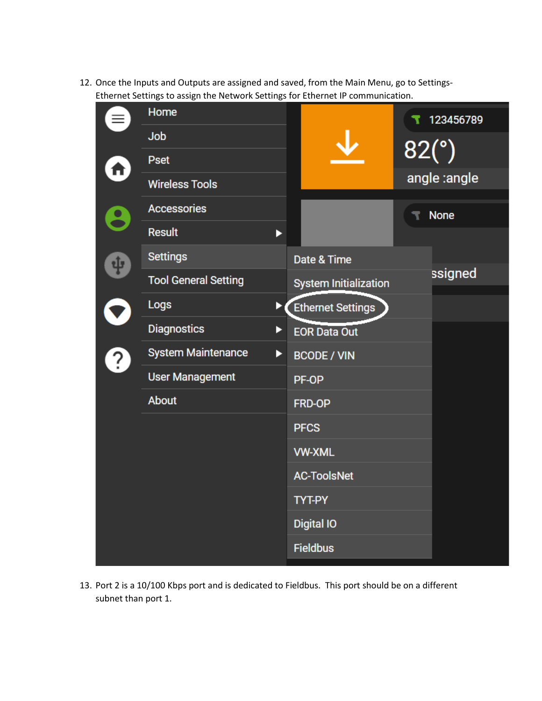12. Once the Inputs and Outputs are assigned and saved, from the Main Menu, go to Settings-Ethernet Settings to assign the Network Settings for Ethernet IP communication.

|           | Home                           |                              | 123456789    |
|-----------|--------------------------------|------------------------------|--------------|
|           | Job                            |                              |              |
|           | <b>Pset</b>                    |                              | 82(°)        |
| П         | <b>Wireless Tools</b>          |                              | angle :angle |
|           | <b>Accessories</b>             |                              | <b>None</b>  |
|           | <b>Result</b><br>ь             |                              |              |
| 中         | <b>Settings</b>                | Date & Time                  |              |
|           | <b>Tool General Setting</b>    | <b>System Initialization</b> | ssigned      |
|           | <b>Logs</b>                    | <b>Ethernet Settings</b>     |              |
|           | <b>Diagnostics</b><br>▶        | <b>EOR Data Out</b>          |              |
| $\dot{?}$ | <b>System Maintenance</b><br>▶ | <b>BCODE / VIN</b>           |              |
|           | <b>User Management</b>         | PF-OP                        |              |
|           | About                          | FRD-OP                       |              |
|           |                                | <b>PFCS</b>                  |              |
|           |                                | <b>VW-XML</b>                |              |
|           |                                | <b>AC-ToolsNet</b>           |              |
|           |                                | <b>TYT-PY</b>                |              |
|           |                                | <b>Digital IO</b>            |              |
|           |                                | <b>Fieldbus</b>              |              |
|           |                                |                              |              |

13. Port 2 is a 10/100 Kbps port and is dedicated to Fieldbus. This port should be on a different subnet than port 1.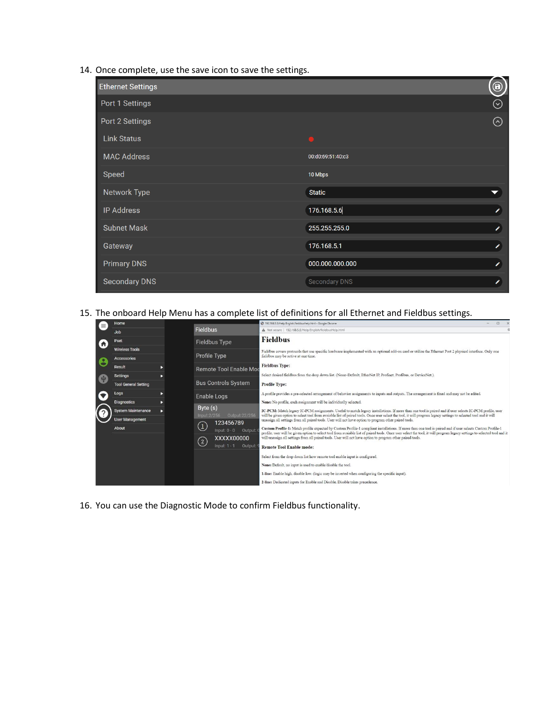14. Once complete, use the save icon to save the settings.

| <b>Ethernet Settings</b> |                   | $\bigcirc$           |
|--------------------------|-------------------|----------------------|
| Port 1 Settings          |                   | $\odot$              |
| Port 2 Settings          |                   | $\odot$              |
| <b>Link Status</b>       |                   |                      |
| <b>MAC Address</b>       | 00:d0:69:51:40:c3 |                      |
| Speed                    | 10 Mbps           |                      |
| Network Type             | <b>Static</b>     | $\blacktriangledown$ |
| <b>IP Address</b>        | 176.168.5.6       | ×                    |
| <b>Subnet Mask</b>       | 255.255.255.0     | ×                    |
| Gateway                  | 176.168.5.1       | ∕                    |
| <b>Primary DNS</b>       | 000.000.000.000   | ∕                    |
| <b>Secondary DNS</b>     | Secondary DNS     | ∕                    |

15. The onboard Help Menu has a complete list of definitions for all Ethernet and Fieldbus settings.

| $\equiv$         | Home                                        |   |                                                                                       | 3 192.168.5.5/Help/English/fieldbusHelp.html - Google Chrome<br>$\Box$                                                                                                                                                                                                                                                                 |
|------------------|---------------------------------------------|---|---------------------------------------------------------------------------------------|----------------------------------------------------------------------------------------------------------------------------------------------------------------------------------------------------------------------------------------------------------------------------------------------------------------------------------------|
|                  | <b>Job</b>                                  |   | <b>Fieldbus</b>                                                                       | A Not secure   192.168.5.5/Help/English/fieldbusHelp.html                                                                                                                                                                                                                                                                              |
| $\blacktriangle$ | Pset                                        |   | <b>Fieldbus Type</b>                                                                  | <b>Fieldbus</b>                                                                                                                                                                                                                                                                                                                        |
|                  | <b>Wireless Tools</b><br><b>Accessories</b> |   | Profile Type                                                                          | Fieldbus covers protocols that use specific hardware implemented with an optional add-on card or utilize the Ethernet Port 2 physical interface. Only one<br>fieldbus may be active at one time.                                                                                                                                       |
| 8                | Result                                      | ь | Remote Tool Enable More                                                               | <b>Fieldbus Type:</b>                                                                                                                                                                                                                                                                                                                  |
| $\frac{1}{2}$    | <b>Settings</b>                             | в |                                                                                       | Select desired fieldbus from the drop down list. (None-Default, EtherNet IP, Profinet, Profibus, or DeviceNet.).                                                                                                                                                                                                                       |
|                  | <b>Tool General Setting</b>                 |   | <b>Bus Controls System</b>                                                            | <b>Profile Type:</b>                                                                                                                                                                                                                                                                                                                   |
|                  | Logs                                        | ь | Enable Logs                                                                           | A profile provides a pre-selected arrangement of behavior assignments to inputs and outputs. The arrangement is fixed and may not be edited.                                                                                                                                                                                           |
|                  | <b>Diagnostics</b>                          |   |                                                                                       | None: No profile, each assignment will be individually selected.                                                                                                                                                                                                                                                                       |
|                  | <b>System Maintenance</b>                   |   | Byte (s)<br>Output:22/256<br>Input: 2/256                                             | IC-PCM: Match legacy IC-PCM assignments. Useful to match legacy installations. If more than one tool is paired and if user selects IC-PCM profile, user<br>will be given option to select tool from avaiable list of paired tools. Once user select the tool, it will program legacy settings to selected tool and it will             |
|                  | <b>User Management</b>                      |   | 123456789                                                                             | unassign all settings from all paired tools. User will not have option to program other paired tools.                                                                                                                                                                                                                                  |
|                  | About                                       |   | $\left( \begin{smallmatrix} 1 \end{smallmatrix} \right)$<br>Input: $0 - 0$<br>Output: | Custom Profile-1: Match profile expected by Custom Profile-1 compliant installations. If more than one tool is paired and if user selects Custom Profile-1<br>profile, user will be given option to select tool from avaiable list of paired tools. Once user select the tool, it will program legacy settings to selected tool and it |
|                  |                                             |   | XXXXX00000                                                                            | will unassign all settings from all paired tools. User will not have option to program other paired tools.                                                                                                                                                                                                                             |
|                  |                                             |   | $\left( \underline{2}\right)$<br>Input: 1<br>Output:                                  | <b>Remote Tool Enable mode:</b>                                                                                                                                                                                                                                                                                                        |
|                  |                                             |   |                                                                                       | Select from the drop down list how remote tool enable input is configured.                                                                                                                                                                                                                                                             |
|                  |                                             |   |                                                                                       | None: Default, no input is used to enable/disable the tool.                                                                                                                                                                                                                                                                            |
|                  |                                             |   |                                                                                       | 1-line: Enable high, disable low. (logic may be inverted when configuring the specific input).                                                                                                                                                                                                                                         |
|                  |                                             |   |                                                                                       | 2-line: Dedicated inputs for Enable and Disable. Disable takes precedence.                                                                                                                                                                                                                                                             |

16. You can use the Diagnostic Mode to confirm Fieldbus functionality.